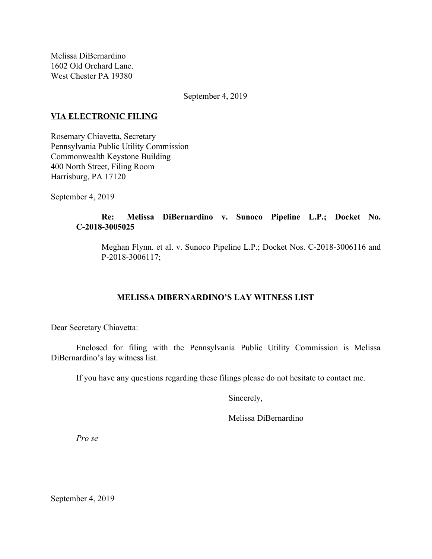Melissa DiBernardino 1602 Old Orchard Lane. West Chester PA 19380

September 4, 2019

### **VIA ELECTRONIC FILING**

Rosemary Chiavetta, Secretary Pennsylvania Public Utility Commission Commonwealth Keystone Building 400 North Street, Filing Room Harrisburg, PA 17120

September 4, 2019

## **Re: Melissa DiBernardino v. Sunoco Pipeline L.P.; Docket No. C-2018-3005025**

Meghan Flynn. et al. v. Sunoco Pipeline L.P.; Docket Nos. C-2018-3006116 and P-2018-3006117;

# **MELISSA DIBERNARDINO'S LAY WITNESS LIST**

Dear Secretary Chiavetta:

Enclosed for filing with the Pennsylvania Public Utility Commission is Melissa DiBernardino's lay witness list.

If you have any questions regarding these filings please do not hesitate to contact me.

Sincerely,

Melissa DiBernardino

*Pro se*

September 4, 2019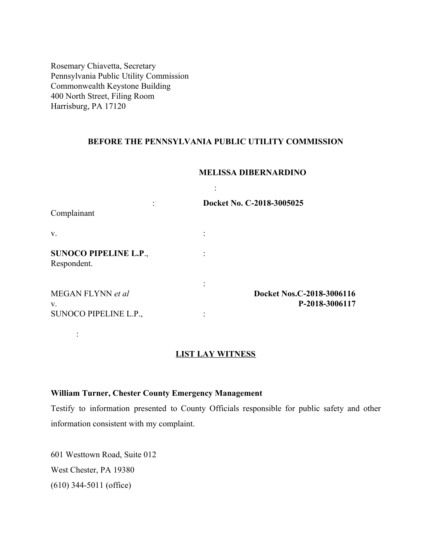Rosemary Chiavetta, Secretary Pennsylvania Public Utility Commission Commonwealth Keystone Building 400 North Street, Filing Room Harrisburg, PA 17120

### **BEFORE THE PENNSYLVANIA PUBLIC UTILITY COMMISSION**

:

#### **MELISSA DIBERNARDINO**

| Complainant                                 | Docket No. C-2018-3005025                   |
|---------------------------------------------|---------------------------------------------|
| V.                                          |                                             |
| <b>SUNOCO PIPELINE L.P.,</b><br>Respondent. |                                             |
| MEGAN FLYNN et al<br>V.                     | Docket Nos.C-2018-3006116<br>P-2018-3006117 |
| SUNOCO PIPELINE L.P.,                       |                                             |

#### **LIST LAY WITNESS**

## **William Turner, Chester County Emergency Management**

Testify to information presented to County Officials responsible for public safety and other information consistent with my complaint.

601 Westtown Road, Suite 012 West Chester, PA 19380 (610) 344-5011 (office)

: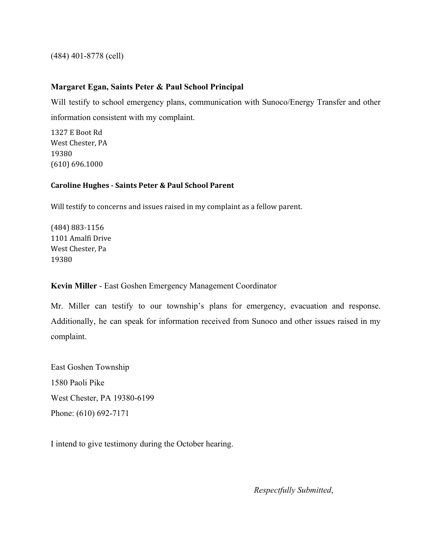(484) 401-8778 (cell)

## **Margaret Egan, Saints Peter & Paul School Principal**

Will testify to school emergency plans, communication with Sunoco/Energy Transfer and other information consistent with my complaint.

1327 E Boot Rd West Chester, PA 19380 (610) 696.1000

#### **Caroline Hughes - Saints Peter & Paul School Parent**

Will testify to concerns and issues raised in my complaint as a fellow parent.

(484) 883-1156 1101 Amalfi Drive West Chester, Pa 19380

**Kevin Miller** - East Goshen Emergency Management Coordinator

Mr. Miller can testify to our township's plans for emergency, evacuation and response. Additionally, he can speak for information received from Sunoco and other issues raised in my complaint.

East Goshen Township 1580 Paoli Pike West Chester, PA 19380-6199 Phone: (610) 692-7171

I intend to give testimony during the October hearing.

*Respectfully Submitted*,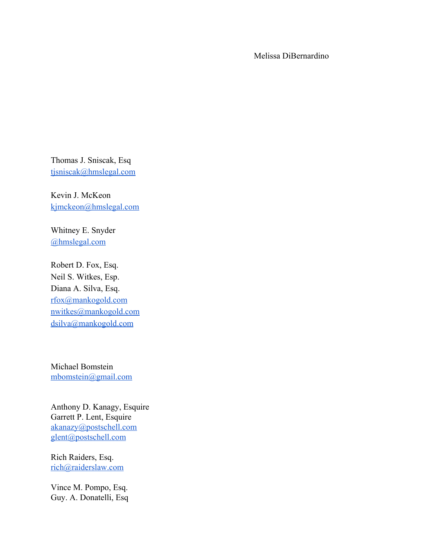Melissa DiBernardino

Thomas J. Sniscak, Esq [tjsniscak@hmslegal.com](mailto:tjsniscak@hmslegal.com)

Kevin J. McKeon [kjmckeon@hmslegal.com](mailto:kjmckeon@hmslegal.com)

Whitney E. Snyder [@hmslegal.com](mailto:wesnyder@hmslegal.com)

Robert D. Fox, Esq. Neil S. Witkes, Esp. Diana A. Silva, Esq. [rfox@mankogold.com](mailto:rfox@mankogold.com) [nwitkes@mankogold.com](mailto:nwitkes@mankogold.com) [dsilva@mankogold.com](mailto:dsilva@mankogold.com)

Michael Bomstein [mbomstein@gmail.com](mailto:mbomstein@gmail.com)

Anthony D. Kanagy, Esquire Garrett P. Lent, Esquire [akanazy@postschell.com](mailto:akanazy@postschell.com) [glent@postschell.com](mailto:glent@postschell.com)

Rich Raiders, Esq. [rich@raiderslaw.com](mailto:rich@raiderslaw.com)

Vince M. Pompo, Esq. Guy. A. Donatelli, Esq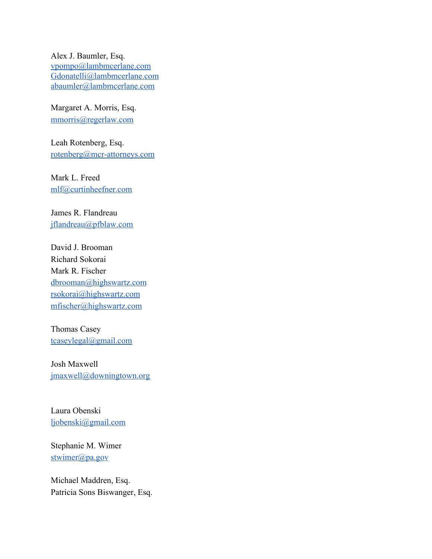Alex J. Baumler, Esq. [vpompo@lambmcerlane.com](mailto:vpompo@lambmcerlane.com) [Gdonatelli@lambmcerlane.com](mailto:Gdonatelli@lambmcerlane.com) [abaumler@lambmcerlane.com](mailto:abaumler@lambmcerlane.com)

Margaret A. Morris, Esq. [mmorris@regerlaw.com](mailto:mmorris@regerlaw.com)

Leah Rotenberg, Esq. [rotenberg@mcr-attorneys.com](mailto:rotenberg@mcr-attorneys.com)

Mark L. Freed [mlf@curtinheefner.com](mailto:mlf@curtinheefner.com)

James R. Flandreau [jflandreau@pfblaw.com](mailto:jflandreau@pfblaw.com)

David J. Brooman Richard Sokorai Mark R. Fischer [dbrooman@highswartz.com](mailto:dbrooman@highswartz.com) [rsokorai@highswartz.com](mailto:rsokorai@highswartz.com) [mfischer@highswartz.com](mailto:mfischer@highswartz.com)

Thomas Casey [tcaseylegal@gmail.com](mailto:tcaseylegal@gmail.com)

Josh Maxwell [jmaxwell@downingtown.org](mailto:jmaxwell@downingtown.org)

Laura Obenski [ljobenski@gmail.com](mailto:ljobenski@gmail.com)

Stephanie M. Wimer [stwimer@pa.gov](mailto:stwimer@pa.gov)

Michael Maddren, Esq. Patricia Sons Biswanger, Esq.